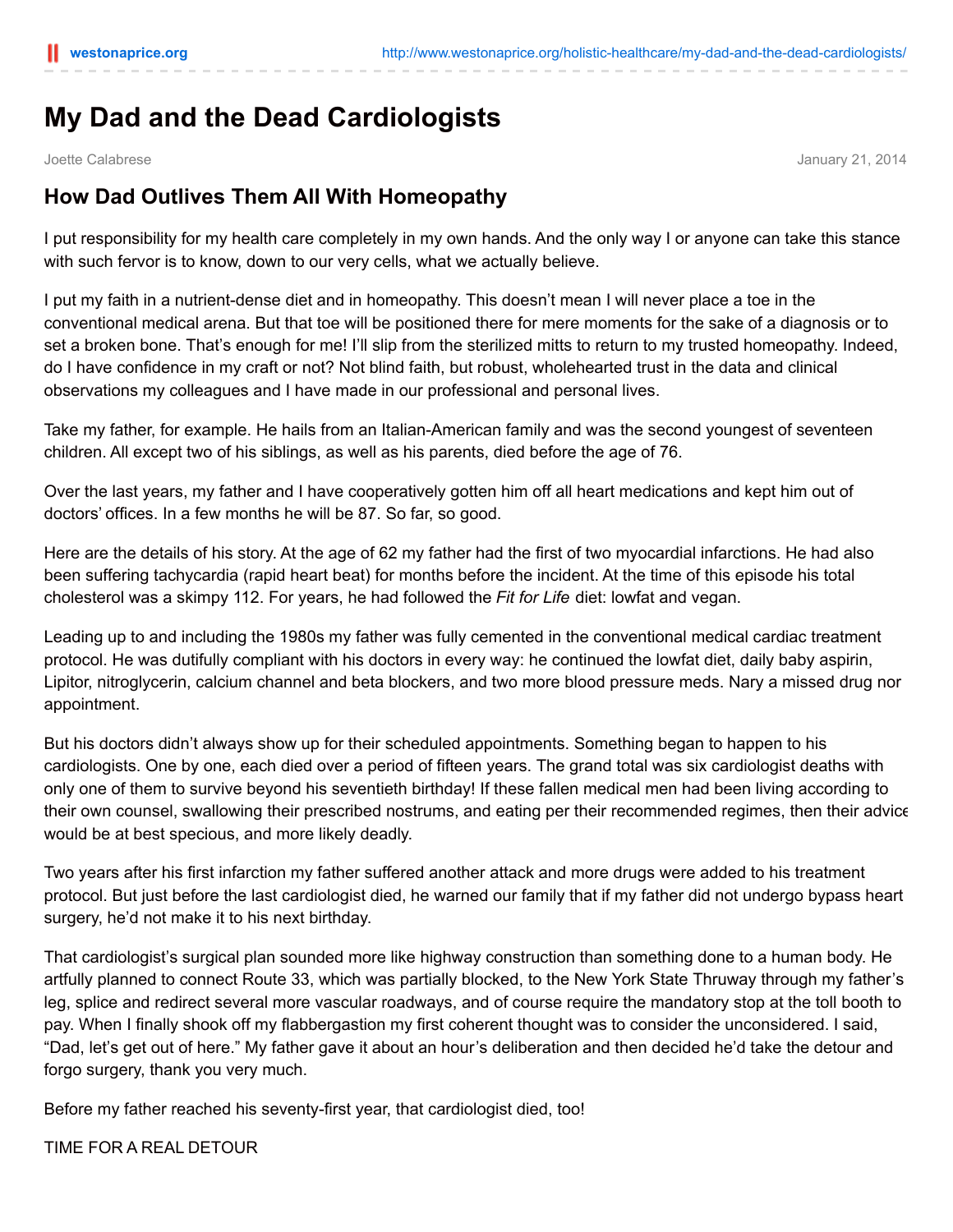# **My Dad and the Dead Cardiologists**

Joette Calabrese January 21, 2014

## **How Dad Outlives Them All With Homeopathy**

I put responsibility for my health care completely in my own hands. And the only way I or anyone can take this stance with such fervor is to know, down to our very cells, what we actually believe.

I put my faith in a nutrient-dense diet and in homeopathy. This doesn't mean I will never place a toe in the conventional medical arena. But that toe will be positioned there for mere moments for the sake of a diagnosis or to set a broken bone. That's enough for me! I'll slip from the sterilized mitts to return to my trusted homeopathy. Indeed, do I have confidence in my craft or not? Not blind faith, but robust, wholehearted trust in the data and clinical observations my colleagues and I have made in our professional and personal lives.

Take my father, for example. He hails from an Italian-American family and was the second youngest of seventeen children. All except two of his siblings, as well as his parents, died before the age of 76.

Over the last years, my father and I have cooperatively gotten him off all heart medications and kept him out of doctors' offices. In a few months he will be 87. So far, so good.

Here are the details of his story. At the age of 62 my father had the first of two myocardial infarctions. He had also been suffering tachycardia (rapid heart beat) for months before the incident. At the time of this episode his total cholesterol was a skimpy 112. For years, he had followed the *Fit for Life* diet: lowfat and vegan.

Leading up to and including the 1980s my father was fully cemented in the conventional medical cardiac treatment protocol. He was dutifully compliant with his doctors in every way: he continued the lowfat diet, daily baby aspirin, Lipitor, nitroglycerin, calcium channel and beta blockers, and two more blood pressure meds. Nary a missed drug nor appointment.

But his doctors didn't always show up for their scheduled appointments. Something began to happen to his cardiologists. One by one, each died over a period of fifteen years. The grand total was six cardiologist deaths with only one of them to survive beyond his seventieth birthday! If these fallen medical men had been living according to their own counsel, swallowing their prescribed nostrums, and eating per their recommended regimes, then their advice would be at best specious, and more likely deadly.

Two years after his first infarction my father suffered another attack and more drugs were added to his treatment protocol. But just before the last cardiologist died, he warned our family that if my father did not undergo bypass heart surgery, he'd not make it to his next birthday.

That cardiologist's surgical plan sounded more like highway construction than something done to a human body. He artfully planned to connect Route 33, which was partially blocked, to the New York State Thruway through my father's leg, splice and redirect several more vascular roadways, and of course require the mandatory stop at the toll booth to pay. When I finally shook off my flabbergastion my first coherent thought was to consider the unconsidered. I said, "Dad, let's get out of here." My father gave it about an hour's deliberation and then decided he'd take the detour and forgo surgery, thank you very much.

Before my father reached his seventy-first year, that cardiologist died, too!

TIME FOR A REAL DETOUR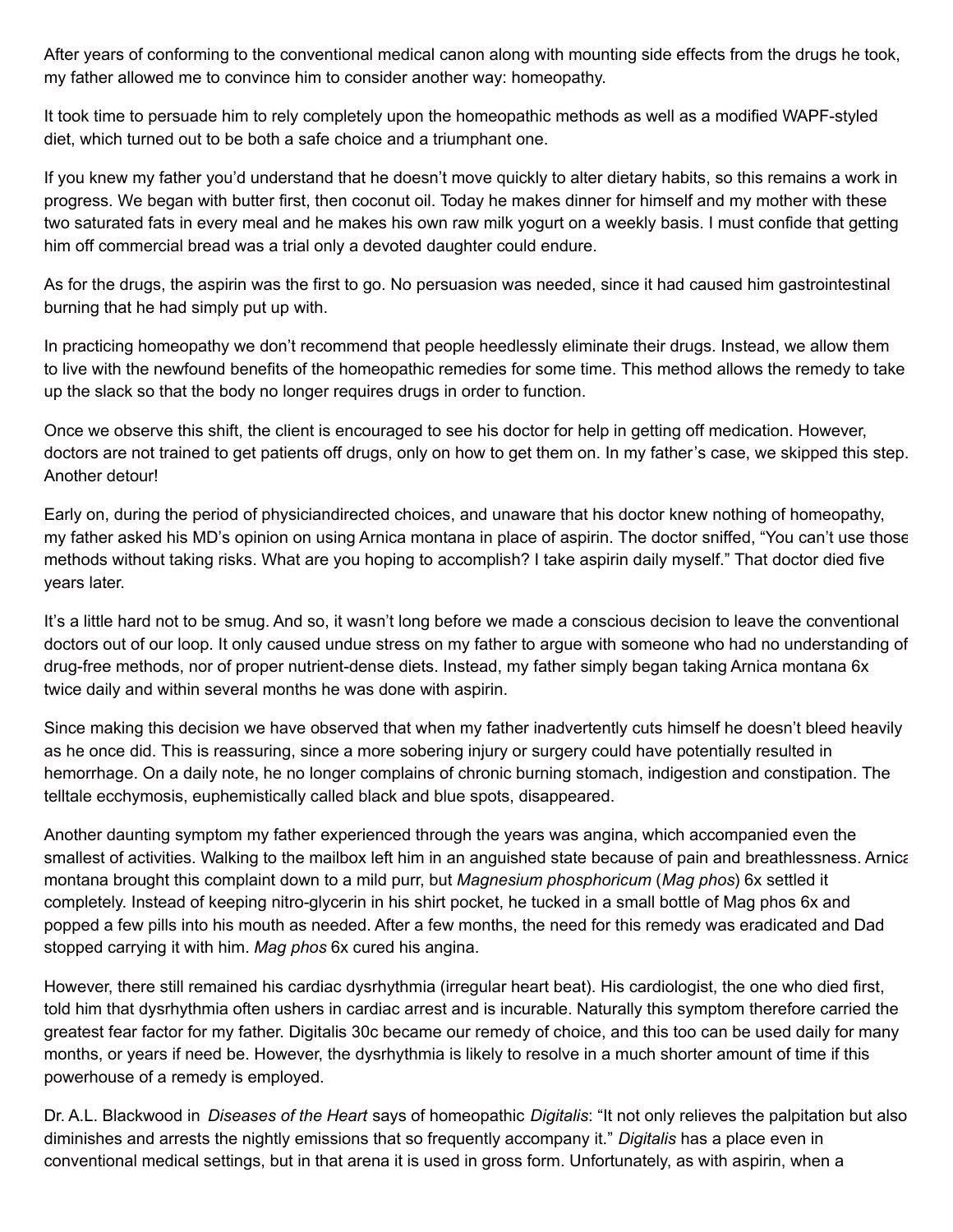After years of conforming to the conventional medical canon along with mounting side effects from the drugs he took, my father allowed me to convince him to consider another way: homeopathy.

It took time to persuade him to rely completely upon the homeopathic methods as well as a modified WAPF-styled diet, which turned out to be both a safe choice and a triumphant one.

If you knew my father you'd understand that he doesn't move quickly to alter dietary habits, so this remains a work in progress. We began with butter first, then coconut oil. Today he makes dinner for himself and my mother with these two saturated fats in every meal and he makes his own raw milk yogurt on a weekly basis. I must confide that getting him off commercial bread was a trial only a devoted daughter could endure.

As for the drugs, the aspirin was the first to go. No persuasion was needed, since it had caused him gastrointestinal burning that he had simply put up with.

In practicing homeopathy we don't recommend that people heedlessly eliminate their drugs. Instead, we allow them to live with the newfound benefits of the homeopathic remedies for some time. This method allows the remedy to take up the slack so that the body no longer requires drugs in order to function.

Once we observe this shift, the client is encouraged to see his doctor for help in getting off medication. However, doctors are not trained to get patients off drugs, only on how to get them on. In my father's case, we skipped this step. Another detour!

Early on, during the period of physiciandirected choices, and unaware that his doctor knew nothing of homeopathy, my father asked his MD's opinion on using Arnica montana in place of aspirin. The doctor sniffed, "You can't use those methods without taking risks. What are you hoping to accomplish? I take aspirin daily myself." That doctor died five years later.

It's a little hard not to be smug. And so, it wasn't long before we made a conscious decision to leave the conventional doctors out of our loop. It only caused undue stress on my father to argue with someone who had no understanding of drug-free methods, nor of proper nutrient-dense diets. Instead, my father simply began taking Arnica montana 6x twice daily and within several months he was done with aspirin.

Since making this decision we have observed that when my father inadvertently cuts himself he doesn't bleed heavily as he once did. This is reassuring, since a more sobering injury or surgery could have potentially resulted in hemorrhage. On a daily note, he no longer complains of chronic burning stomach, indigestion and constipation. The telltale ecchymosis, euphemistically called black and blue spots, disappeared.

Another daunting symptom my father experienced through the years was angina, which accompanied even the smallest of activities. Walking to the mailbox left him in an anguished state because of pain and breathlessness. Arnica montana brought this complaint down to a mild purr, but *Magnesium phosphoricum* (*Mag phos*) 6x settled it completely. Instead of keeping nitro-glycerin in his shirt pocket, he tucked in a small bottle of Mag phos 6x and popped a few pills into his mouth as needed. After a few months, the need for this remedy was eradicated and Dad stopped carrying it with him. *Mag phos* 6x cured his angina.

However, there still remained his cardiac dysrhythmia (irregular heart beat). His cardiologist, the one who died first, told him that dysrhythmia often ushers in cardiac arrest and is incurable. Naturally this symptom therefore carried the greatest fear factor for my father. Digitalis 30c became our remedy of choice, and this too can be used daily for many months, or years if need be. However, the dysrhythmia is likely to resolve in a much shorter amount of time if this powerhouse of a remedy is employed.

Dr. A.L. Blackwood in *Diseases of the Heart* says of homeopathic *Digitalis*: "It not only relieves the palpitation but also diminishes and arrests the nightly emissions that so frequently accompany it." *Digitalis* has a place even in conventional medical settings, but in that arena it is used in gross form. Unfortunately, as with aspirin, when a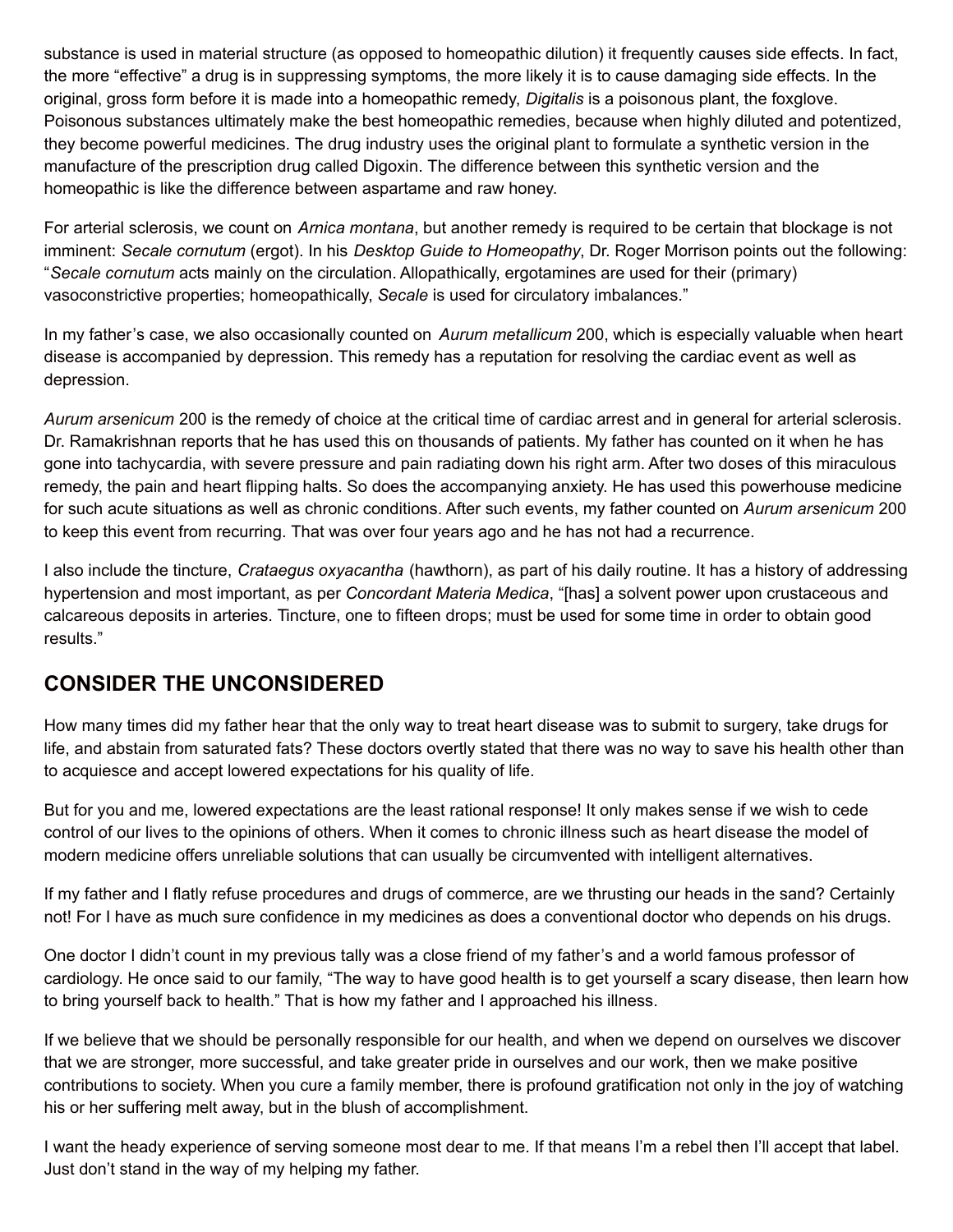substance is used in material structure (as opposed to homeopathic dilution) it frequently causes side effects. In fact, the more "effective" a drug is in suppressing symptoms, the more likely it is to cause damaging side effects. In the original, gross form before it is made into a homeopathic remedy, *Digitalis* is a poisonous plant, the foxglove. Poisonous substances ultimately make the best homeopathic remedies, because when highly diluted and potentized, they become powerful medicines. The drug industry uses the original plant to formulate a synthetic version in the manufacture of the prescription drug called Digoxin. The difference between this synthetic version and the homeopathic is like the difference between aspartame and raw honey.

For arterial sclerosis, we count on *Arnica montana*, but another remedy is required to be certain that blockage is not imminent: *Secale cornutum* (ergot). In his *Desktop Guide to Homeopathy*, Dr. Roger Morrison points out the following: "*Secale cornutum* acts mainly on the circulation. Allopathically, ergotamines are used for their (primary) vasoconstrictive properties; homeopathically, *Secale* is used for circulatory imbalances."

In my father's case, we also occasionally counted on *Aurum metallicum* 200, which is especially valuable when heart disease is accompanied by depression. This remedy has a reputation for resolving the cardiac event as well as depression.

*Aurum arsenicum* 200 is the remedy of choice at the critical time of cardiac arrest and in general for arterial sclerosis. Dr. Ramakrishnan reports that he has used this on thousands of patients. My father has counted on it when he has gone into tachycardia, with severe pressure and pain radiating down his right arm. After two doses of this miraculous remedy, the pain and heart flipping halts. So does the accompanying anxiety. He has used this powerhouse medicine for such acute situations as well as chronic conditions. After such events, my father counted on *Aurum arsenicum* 200 to keep this event from recurring. That was over four years ago and he has not had a recurrence.

I also include the tincture, *Crataegus oxyacantha* (hawthorn), as part of his daily routine. It has a history of addressing hypertension and most important, as per *Concordant Materia Medica*, "[has] a solvent power upon crustaceous and calcareous deposits in arteries. Tincture, one to fifteen drops; must be used for some time in order to obtain good results."

### **CONSIDER THE UNCONSIDERED**

How many times did my father hear that the only way to treat heart disease was to submit to surgery, take drugs for life, and abstain from saturated fats? These doctors overtly stated that there was no way to save his health other than to acquiesce and accept lowered expectations for his quality of life.

But for you and me, lowered expectations are the least rational response! It only makes sense if we wish to cede control of our lives to the opinions of others. When it comes to chronic illness such as heart disease the model of modern medicine offers unreliable solutions that can usually be circumvented with intelligent alternatives.

If my father and I flatly refuse procedures and drugs of commerce, are we thrusting our heads in the sand? Certainly not! For I have as much sure confidence in my medicines as does a conventional doctor who depends on his drugs.

One doctor I didn't count in my previous tally was a close friend of my father's and a world famous professor of cardiology. He once said to our family, "The way to have good health is to get yourself a scary disease, then learn how to bring yourself back to health." That is how my father and I approached his illness.

If we believe that we should be personally responsible for our health, and when we depend on ourselves we discover that we are stronger, more successful, and take greater pride in ourselves and our work, then we make positive contributions to society. When you cure a family member, there is profound gratification not only in the joy of watching his or her suffering melt away, but in the blush of accomplishment.

I want the heady experience of serving someone most dear to me. If that means I'm a rebel then I'll accept that label. Just don't stand in the way of my helping my father.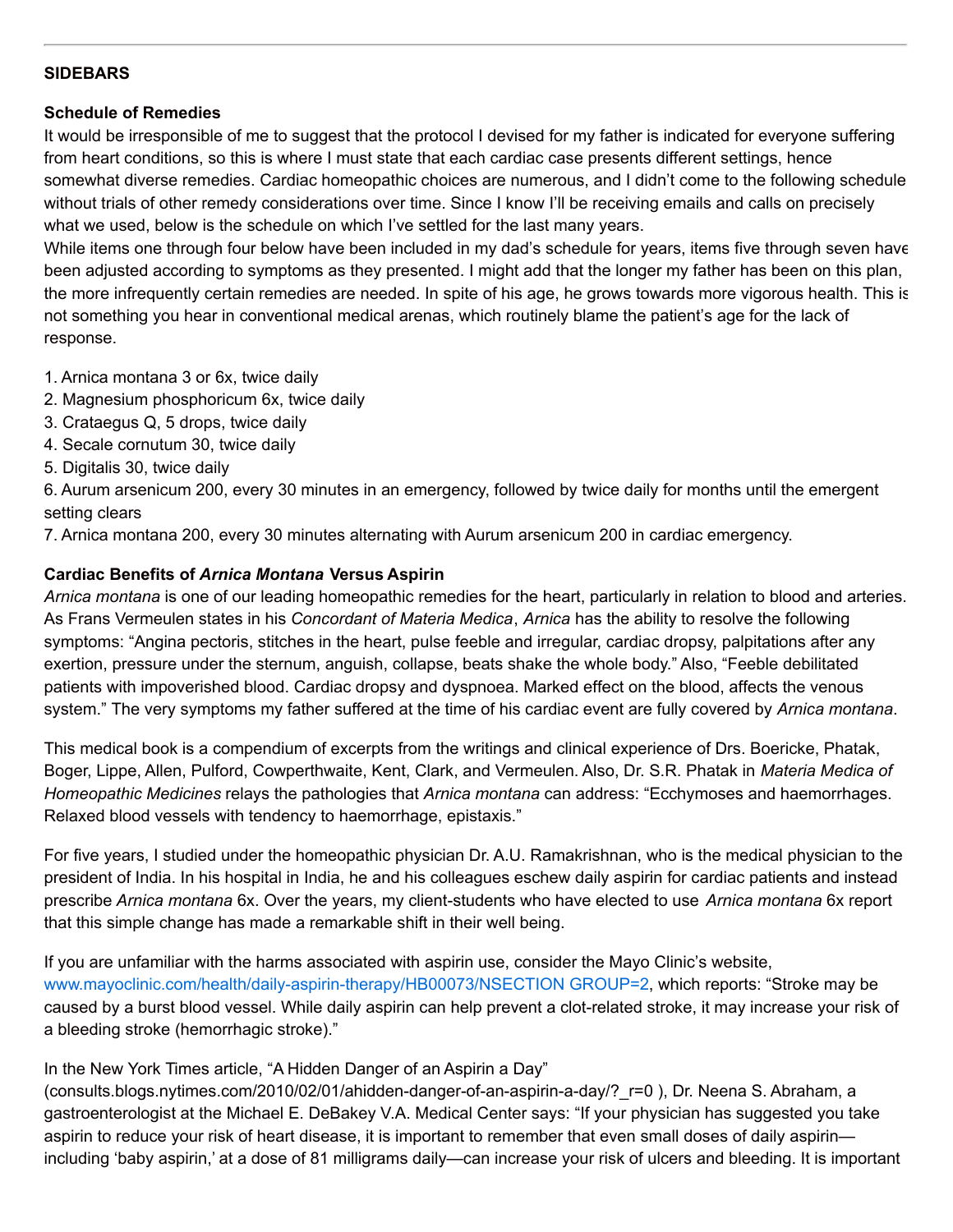#### **SIDEBARS**

#### **Schedule of Remedies**

It would be irresponsible of me to suggest that the protocol I devised for my father is indicated for everyone suffering from heart conditions, so this is where I must state that each cardiac case presents different settings, hence somewhat diverse remedies. Cardiac homeopathic choices are numerous, and I didn't come to the following schedule without trials of other remedy considerations over time. Since I know I'll be receiving emails and calls on precisely what we used, below is the schedule on which I've settled for the last many years.

While items one through four below have been included in my dad's schedule for years, items five through seven have been adjusted according to symptoms as they presented. I might add that the longer my father has been on this plan, the more infrequently certain remedies are needed. In spite of his age, he grows towards more vigorous health. This is not something you hear in conventional medical arenas, which routinely blame the patient's age for the lack of response.

- 1. Arnica montana 3 or 6x, twice daily
- 2. Magnesium phosphoricum 6x, twice daily
- 3. Crataegus Q, 5 drops, twice daily
- 4. Secale cornutum 30, twice daily
- 5. Digitalis 30, twice daily

6. Aurum arsenicum 200, every 30 minutes in an emergency, followed by twice daily for months until the emergent setting clears

7. Arnica montana 200, every 30 minutes alternating with Aurum arsenicum 200 in cardiac emergency.

#### **Cardiac Benefits of** *Arnica Montana* **Versus Aspirin**

*Arnica montana* is one of our leading homeopathic remedies for the heart, particularly in relation to blood and arteries. As Frans Vermeulen states in his *Concordant of Materia Medica*, *Arnica* has the ability to resolve the following symptoms: "Angina pectoris, stitches in the heart, pulse feeble and irregular, cardiac dropsy, palpitations after any exertion, pressure under the sternum, anguish, collapse, beats shake the whole body." Also, "Feeble debilitated patients with impoverished blood. Cardiac dropsy and dyspnoea. Marked effect on the blood, affects the venous system." The very symptoms my father suffered at the time of his cardiac event are fully covered by *Arnica montana*.

This medical book is a compendium of excerpts from the writings and clinical experience of Drs. Boericke, Phatak, Boger, Lippe, Allen, Pulford, Cowperthwaite, Kent, Clark, and Vermeulen. Also, Dr. S.R. Phatak in *Materia Medica of Homeopathic Medicines* relays the pathologies that *Arnica montana* can address: "Ecchymoses and haemorrhages. Relaxed blood vessels with tendency to haemorrhage, epistaxis."

For five years, I studied under the homeopathic physician Dr. A.U. Ramakrishnan, who is the medical physician to the president of India. In his hospital in India, he and his colleagues eschew daily aspirin for cardiac patients and instead prescribe *Arnica montana* 6x. Over the years, my client-students who have elected to use *Arnica montana* 6x report that this simple change has made a remarkable shift in their well being.

If you are unfamiliar with the harms associated with aspirin use, consider the Mayo Clinic's website, [www.mayoclinic.com/health/daily-aspirin-therapy/HB00073/NSECTION](http://www.mayoclinic.com/health/daily-aspirin-therapy/HB00073/NSECTION GROUP=2) GROUP=2, which reports: "Stroke may be caused by a burst blood vessel. While daily aspirin can help prevent a clot-related stroke, it may increase your risk of a bleeding stroke (hemorrhagic stroke)."

#### In the New York Times article, "A Hidden Danger of an Aspirin a Day"

(consults.blogs.nytimes.com/2010/02/01/ahidden-danger-of-an-aspirin-a-day/?\_r=0 ), Dr. Neena S. Abraham, a gastroenterologist at the Michael E. DeBakey V.A. Medical Center says: "If your physician has suggested you take aspirin to reduce your risk of heart disease, it is important to remember that even small doses of daily aspirin including 'baby aspirin,' at a dose of 81 milligrams daily—can increase your risk of ulcers and bleeding. It is important